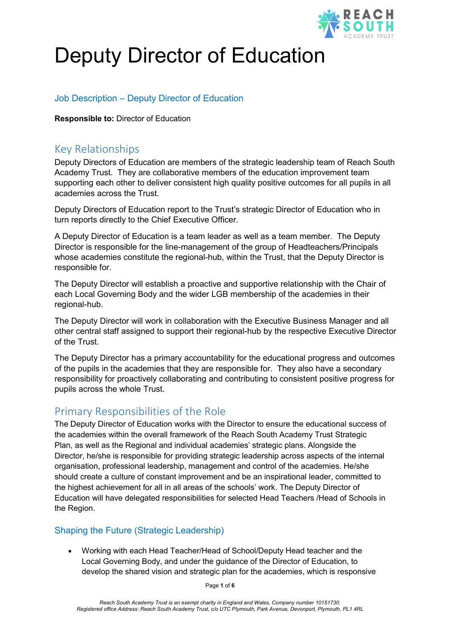

# Deputy Director of Education

# Job Description – Deputy Director of Education

**Responsible to:** Director of Education

# Key Relationships

Deputy Directors of Education are members of the strategic leadership team of Reach South Academy Trust. They are collaborative members of the education improvement team supporting each other to deliver consistent high quality positive outcomes for all pupils in all academies across the Trust.

Deputy Directors of Education report to the Trust's strategic Director of Education who in turn reports directly to the Chief Executive Officer.

A Deputy Director of Education is a team leader as well as a team member. The Deputy Director is responsible for the line-management of the group of Headteachers/Principals whose academies constitute the regional-hub, within the Trust, that the Deputy Director is responsible for.

The Deputy Director will establish a proactive and supportive relationship with the Chair of each Local Governing Body and the wider LGB membership of the academies in their regional-hub.

The Deputy Director will work in collaboration with the Executive Business Manager and all other central staff assigned to support their regional-hub by the respective Executive Director of the Trust.

The Deputy Director has a primary accountability for the educational progress and outcomes of the pupils in the academies that they are responsible for. They also have a secondary responsibility for proactively collaborating and contributing to consistent positive progress for pupils across the whole Trust.

# Primary Responsibilities of the Role

The Deputy Director of Education works with the Director to ensure the educational success of the academies within the overall framework of the Reach South Academy Trust Strategic Plan, as well as the Regional and individual academies' strategic plans. Alongside the Director, he/she is responsible for providing strategic leadership across aspects of the internal organisation, professional leadership, management and control of the academies. He/she should create a culture of constant improvement and be an inspirational leader, committed to the highest achievement for all in all areas of the schools' work. The Deputy Director of Education will have delegated responsibilities for selected Head Teachers /Head of Schools in the Region.

#### Shaping the Future (Strategic Leadership)

• Working with each Head Teacher/Head of School/Deputy Head teacher and the Local Governing Body, and under the guidance of the Director of Education, to develop the shared vision and strategic plan for the academies, which is responsive

Page **1** of **6**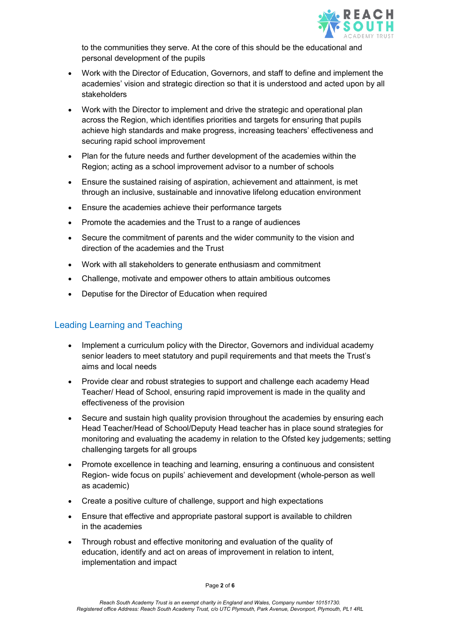

to the communities they serve. At the core of this should be the educational and personal development of the pupils

- Work with the Director of Education, Governors, and staff to define and implement the academies' vision and strategic direction so that it is understood and acted upon by all stakeholders
- Work with the Director to implement and drive the strategic and operational plan across the Region, which identifies priorities and targets for ensuring that pupils achieve high standards and make progress, increasing teachers' effectiveness and securing rapid school improvement
- Plan for the future needs and further development of the academies within the Region; acting as a school improvement advisor to a number of schools
- Ensure the sustained raising of aspiration, achievement and attainment, is met through an inclusive, sustainable and innovative lifelong education environment
- Ensure the academies achieve their performance targets
- Promote the academies and the Trust to a range of audiences
- Secure the commitment of parents and the wider community to the vision and direction of the academies and the Trust
- Work with all stakeholders to generate enthusiasm and commitment
- Challenge, motivate and empower others to attain ambitious outcomes
- Deputise for the Director of Education when required

#### Leading Learning and Teaching

- Implement a curriculum policy with the Director, Governors and individual academy senior leaders to meet statutory and pupil requirements and that meets the Trust's aims and local needs
- Provide clear and robust strategies to support and challenge each academy Head Teacher/ Head of School, ensuring rapid improvement is made in the quality and effectiveness of the provision
- Secure and sustain high quality provision throughout the academies by ensuring each Head Teacher/Head of School/Deputy Head teacher has in place sound strategies for monitoring and evaluating the academy in relation to the Ofsted key judgements; setting challenging targets for all groups
- Promote excellence in teaching and learning, ensuring a continuous and consistent Region- wide focus on pupils' achievement and development (whole-person as well as academic)
- Create a positive culture of challenge, support and high expectations
- Ensure that effective and appropriate pastoral support is available to children in the academies
- Through robust and effective monitoring and evaluation of the quality of education, identify and act on areas of improvement in relation to intent, implementation and impact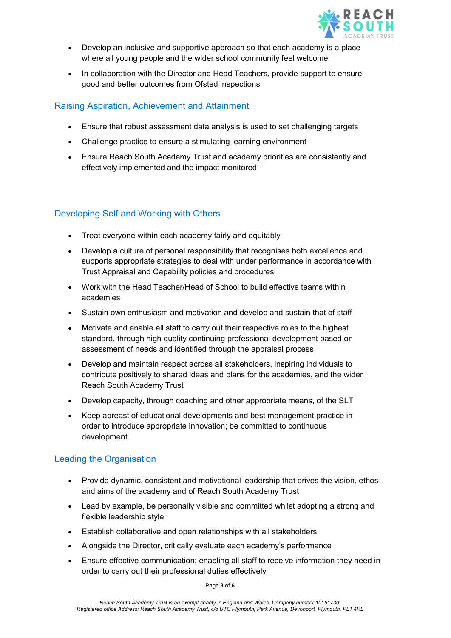

- Develop an inclusive and supportive approach so that each academy is a place where all young people and the wider school community feel welcome
- In collaboration with the Director and Head Teachers, provide support to ensure good and better outcomes from Ofsted inspections

## Raising Aspiration, Achievement and Attainment

- Ensure that robust assessment data analysis is used to set challenging targets
- Challenge practice to ensure a stimulating learning environment
- Ensure Reach South Academy Trust and academy priorities are consistently and effectively implemented and the impact monitored

# Developing Self and Working with Others

- Treat everyone within each academy fairly and equitably
- Develop a culture of personal responsibility that recognises both excellence and supports appropriate strategies to deal with under performance in accordance with Trust Appraisal and Capability policies and procedures
- Work with the Head Teacher/Head of School to build effective teams within academies
- Sustain own enthusiasm and motivation and develop and sustain that of staff
- Motivate and enable all staff to carry out their respective roles to the highest standard, through high quality continuing professional development based on assessment of needs and identified through the appraisal process
- Develop and maintain respect across all stakeholders, inspiring individuals to contribute positively to shared ideas and plans for the academies, and the wider Reach South Academy Trust
- Develop capacity, through coaching and other appropriate means, of the SLT
- Keep abreast of educational developments and best management practice in order to introduce appropriate innovation; be committed to continuous development

# Leading the Organisation

- Provide dynamic, consistent and motivational leadership that drives the vision, ethos and aims of the academy and of Reach South Academy Trust
- Lead by example, be personally visible and committed whilst adopting a strong and flexible leadership style
- Establish collaborative and open relationships with all stakeholders
- Alongside the Director, critically evaluate each academy's performance
- Ensure effective communication; enabling all staff to receive information they need in order to carry out their professional duties effectively

Page **3** of **6**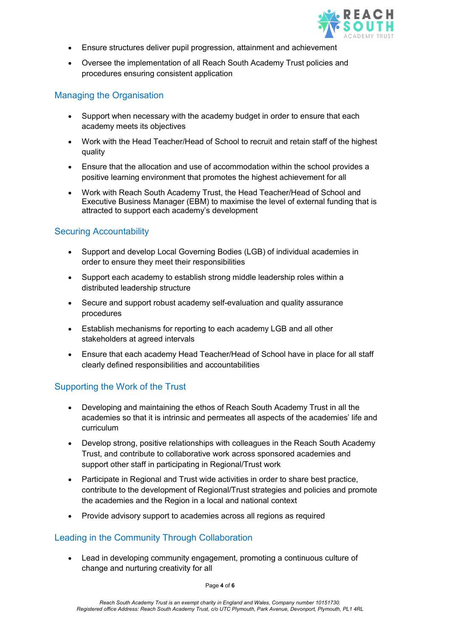

- Ensure structures deliver pupil progression, attainment and achievement
- Oversee the implementation of all Reach South Academy Trust policies and procedures ensuring consistent application

#### Managing the Organisation

- Support when necessary with the academy budget in order to ensure that each academy meets its objectives
- Work with the Head Teacher/Head of School to recruit and retain staff of the highest quality
- Ensure that the allocation and use of accommodation within the school provides a positive learning environment that promotes the highest achievement for all
- Work with Reach South Academy Trust, the Head Teacher/Head of School and Executive Business Manager (EBM) to maximise the level of external funding that is attracted to support each academy's development

## Securing Accountability

- Support and develop Local Governing Bodies (LGB) of individual academies in order to ensure they meet their responsibilities
- Support each academy to establish strong middle leadership roles within a distributed leadership structure
- Secure and support robust academy self-evaluation and quality assurance procedures
- Establish mechanisms for reporting to each academy LGB and all other stakeholders at agreed intervals
- Ensure that each academy Head Teacher/Head of School have in place for all staff clearly defined responsibilities and accountabilities

#### Supporting the Work of the Trust

- Developing and maintaining the ethos of Reach South Academy Trust in all the academies so that it is intrinsic and permeates all aspects of the academies' life and curriculum
- Develop strong, positive relationships with colleagues in the Reach South Academy Trust, and contribute to collaborative work across sponsored academies and support other staff in participating in Regional/Trust work
- Participate in Regional and Trust wide activities in order to share best practice, contribute to the development of Regional/Trust strategies and policies and promote the academies and the Region in a local and national context
- Provide advisory support to academies across all regions as required

#### Leading in the Community Through Collaboration

• Lead in developing community engagement, promoting a continuous culture of change and nurturing creativity for all

Page **4** of **6**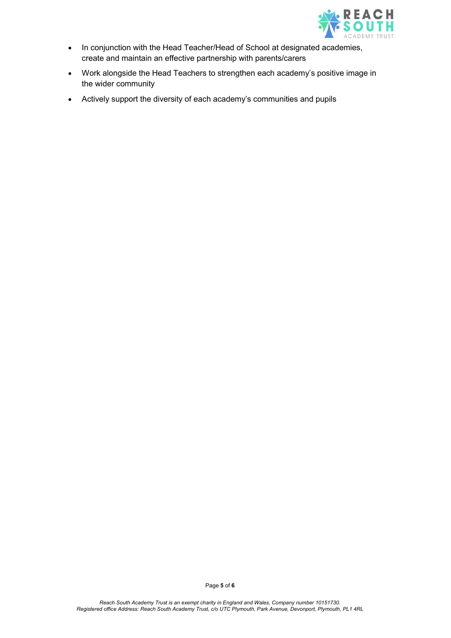

- In conjunction with the Head Teacher/Head of School at designated academies, create and maintain an effective partnership with parents/carers
- Work alongside the Head Teachers to strengthen each academy's positive image in the wider community
- Actively support the diversity of each academy's communities and pupils